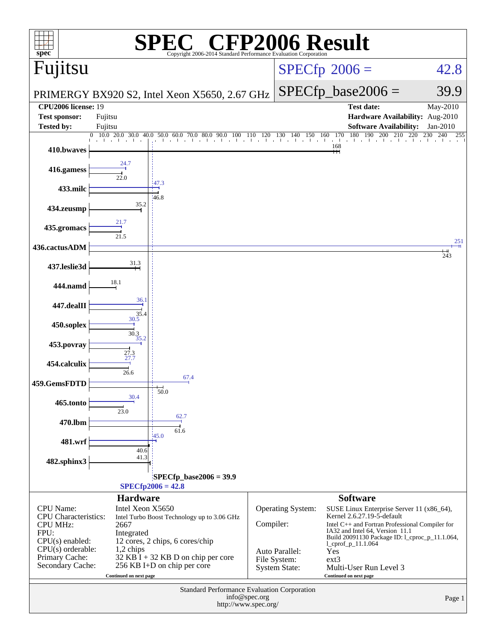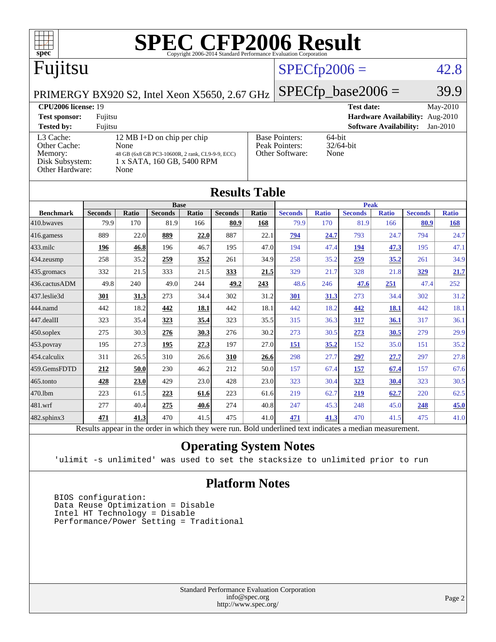

|                  | TICHTH THUIC                                                                                             |             |                |       |                |       |                |              |                |              |                |              |
|------------------|----------------------------------------------------------------------------------------------------------|-------------|----------------|-------|----------------|-------|----------------|--------------|----------------|--------------|----------------|--------------|
|                  |                                                                                                          | <b>Base</b> |                |       |                |       | <b>Peak</b>    |              |                |              |                |              |
| <b>Benchmark</b> | <b>Seconds</b>                                                                                           | Ratio       | <b>Seconds</b> | Ratio | <b>Seconds</b> | Ratio | <b>Seconds</b> | <b>Ratio</b> | <b>Seconds</b> | <b>Ratio</b> | <b>Seconds</b> | <b>Ratio</b> |
| 410.bwayes       | 79.9                                                                                                     | 170         | 81.9           | 166   | 80.9           | 168   | 79.9           | 170          | 81.9           | 166          | 80.9           | 168          |
| 416.gamess       | 889                                                                                                      | 22.0        | 889            | 22.0  | 887            | 22.1  | <u>794</u>     | 24.7         | 793            | 24.7         | 794            | 24.7         |
| 433.milc         | 196                                                                                                      | 46.8        | 196            | 46.7  | 195            | 47.0  | 194            | 47.4         | 194            | 47.3         | 195            | 47.1         |
| 434.zeusmp       | 258                                                                                                      | 35.2        | 259            | 35.2  | 261            | 34.9  | 258            | 35.2         | 259            | 35.2         | 261            | 34.9         |
| 435.gromacs      | 332                                                                                                      | 21.5        | 333            | 21.5  | 333            | 21.5  | 329            | 21.7         | 328            | 21.8         | 329            | 21.7         |
| 436.cactusADM    | 49.8                                                                                                     | 240         | 49.0           | 244   | 49.2           | 243   | 48.6           | 246          | 47.6           | 251          | 47.4           | 252          |
| 437.leslie3d     | 301                                                                                                      | 31.3        | 273            | 34.4  | 302            | 31.2  | 301            | 31.3         | 273            | 34.4         | 302            | 31.2         |
| 444.namd         | 442                                                                                                      | 18.2        | 442            | 18.1  | 442            | 18.1  | 442            | 18.2         | 442            | <b>18.1</b>  | 442            | 18.1         |
| 447.dealII       | 323                                                                                                      | 35.4        | 323            | 35.4  | 323            | 35.5  | 315            | 36.3         | 317            | 36.1         | 317            | 36.1         |
| 450.soplex       | 275                                                                                                      | 30.3        | 276            | 30.3  | 276            | 30.2  | 273            | 30.5         | 273            | 30.5         | 279            | 29.9         |
| 453.povray       | 195                                                                                                      | 27.3        | 195            | 27.3  | 197            | 27.0  | 151            | 35.2         | 152            | 35.0         | 151            | 35.2         |
| 454.calculix     | 311                                                                                                      | 26.5        | 310            | 26.6  | 310            | 26.6  | 298            | 27.7         | 297            | 27.7         | 297            | 27.8         |
| 459.GemsFDTD     | 212                                                                                                      | 50.0        | 230            | 46.2  | 212            | 50.0  | 157            | 67.4         | 157            | 67.4         | 157            | 67.6         |
| 465.tonto        | 428                                                                                                      | 23.0        | 429            | 23.0  | 428            | 23.0  | 323            | 30.4         | 323            | 30.4         | 323            | 30.5         |
| 470.1bm          | 223                                                                                                      | 61.5        | 223            | 61.6  | 223            | 61.6  | 219            | 62.7         | 219            | 62.7         | 220            | 62.5         |
| 481.wrf          | 277                                                                                                      | 40.4        | 275            | 40.6  | 274            | 40.8  | 247            | 45.3         | 248            | 45.0         | 248            | 45.0         |
| 482.sphinx3      | 471                                                                                                      | 41.3        | 470            | 41.5  | 475            | 41.0  | 471            | 41.3         | 470            | 41.5         | 475            | 41.0         |
|                  | Results appear in the order in which they were run. Bold underlined text indicates a median measurement. |             |                |       |                |       |                |              |                |              |                |              |

#### **[Operating System Notes](http://www.spec.org/auto/cpu2006/Docs/result-fields.html#OperatingSystemNotes)**

'ulimit -s unlimited' was used to set the stacksize to unlimited prior to run

#### **[Platform Notes](http://www.spec.org/auto/cpu2006/Docs/result-fields.html#PlatformNotes)**

 BIOS configuration: Data Reuse Optimization = Disable Intel HT Technology = Disable Performance/Power Setting = Traditional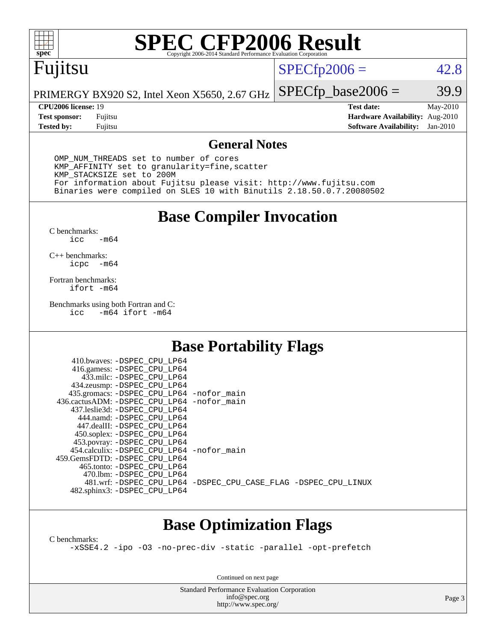

# **[SPEC CFP2006 Result](http://www.spec.org/auto/cpu2006/Docs/result-fields.html#SPECCFP2006Result)**

# Fujitsu

### $SPECfp2006 = 42.8$  $SPECfp2006 = 42.8$

PRIMERGY BX920 S2, Intel Xeon X5650, 2.67 GHz  $SPECTp\_base2006 = 39.9$ 

**[Tested by:](http://www.spec.org/auto/cpu2006/Docs/result-fields.html#Testedby)** Fujitsu **[Software Availability:](http://www.spec.org/auto/cpu2006/Docs/result-fields.html#SoftwareAvailability)** Jan-2010

**[CPU2006 license:](http://www.spec.org/auto/cpu2006/Docs/result-fields.html#CPU2006license)** 19 **[Test date:](http://www.spec.org/auto/cpu2006/Docs/result-fields.html#Testdate)** May-2010 **[Test sponsor:](http://www.spec.org/auto/cpu2006/Docs/result-fields.html#Testsponsor)** Fujitsu **[Hardware Availability:](http://www.spec.org/auto/cpu2006/Docs/result-fields.html#HardwareAvailability)** Aug-2010

#### **[General Notes](http://www.spec.org/auto/cpu2006/Docs/result-fields.html#GeneralNotes)**

 OMP\_NUM\_THREADS set to number of cores KMP\_AFFINITY set to granularity=fine,scatter KMP\_STACKSIZE set to 200M For information about Fujitsu please visit: <http://www.fujitsu.com> Binaries were compiled on SLES 10 with Binutils 2.18.50.0.7.20080502

**[Base Compiler Invocation](http://www.spec.org/auto/cpu2006/Docs/result-fields.html#BaseCompilerInvocation)**

[C benchmarks](http://www.spec.org/auto/cpu2006/Docs/result-fields.html#Cbenchmarks):  $-m64$ 

[C++ benchmarks:](http://www.spec.org/auto/cpu2006/Docs/result-fields.html#CXXbenchmarks) [icpc -m64](http://www.spec.org/cpu2006/results/res2010q3/cpu2006-20100702-12075.flags.html#user_CXXbase_intel_icpc_64bit_bedb90c1146cab66620883ef4f41a67e)

[Fortran benchmarks](http://www.spec.org/auto/cpu2006/Docs/result-fields.html#Fortranbenchmarks): [ifort -m64](http://www.spec.org/cpu2006/results/res2010q3/cpu2006-20100702-12075.flags.html#user_FCbase_intel_ifort_64bit_ee9d0fb25645d0210d97eb0527dcc06e)

[Benchmarks using both Fortran and C](http://www.spec.org/auto/cpu2006/Docs/result-fields.html#BenchmarksusingbothFortranandC): [icc -m64](http://www.spec.org/cpu2006/results/res2010q3/cpu2006-20100702-12075.flags.html#user_CC_FCbase_intel_icc_64bit_0b7121f5ab7cfabee23d88897260401c) [ifort -m64](http://www.spec.org/cpu2006/results/res2010q3/cpu2006-20100702-12075.flags.html#user_CC_FCbase_intel_ifort_64bit_ee9d0fb25645d0210d97eb0527dcc06e)

### **[Base Portability Flags](http://www.spec.org/auto/cpu2006/Docs/result-fields.html#BasePortabilityFlags)**

| 410.bwaves: -DSPEC CPU LP64                |                                                                |
|--------------------------------------------|----------------------------------------------------------------|
| 416.gamess: -DSPEC_CPU_LP64                |                                                                |
| 433.milc: -DSPEC CPU LP64                  |                                                                |
| 434.zeusmp: -DSPEC_CPU_LP64                |                                                                |
| 435.gromacs: -DSPEC_CPU_LP64 -nofor_main   |                                                                |
| 436.cactusADM: -DSPEC CPU LP64 -nofor main |                                                                |
| 437.leslie3d: -DSPEC CPU LP64              |                                                                |
| 444.namd: -DSPEC CPU LP64                  |                                                                |
| 447.dealII: -DSPEC_CPU LP64                |                                                                |
| 450.soplex: -DSPEC_CPU_LP64                |                                                                |
| 453.povray: -DSPEC_CPU_LP64                |                                                                |
| 454.calculix: -DSPEC CPU LP64 -nofor main  |                                                                |
| 459.GemsFDTD: - DSPEC_CPU LP64             |                                                                |
| 465.tonto: - DSPEC CPU LP64                |                                                                |
| 470.1bm: - DSPEC CPU LP64                  |                                                                |
|                                            | 481.wrf: -DSPEC CPU_LP64 -DSPEC_CPU_CASE_FLAG -DSPEC_CPU_LINUX |
| 482.sphinx3: -DSPEC_CPU_LP64               |                                                                |
|                                            |                                                                |

## **[Base Optimization Flags](http://www.spec.org/auto/cpu2006/Docs/result-fields.html#BaseOptimizationFlags)**

[C benchmarks](http://www.spec.org/auto/cpu2006/Docs/result-fields.html#Cbenchmarks):

[-xSSE4.2](http://www.spec.org/cpu2006/results/res2010q3/cpu2006-20100702-12075.flags.html#user_CCbase_f-xSSE42_f91528193cf0b216347adb8b939d4107) [-ipo](http://www.spec.org/cpu2006/results/res2010q3/cpu2006-20100702-12075.flags.html#user_CCbase_f-ipo) [-O3](http://www.spec.org/cpu2006/results/res2010q3/cpu2006-20100702-12075.flags.html#user_CCbase_f-O3) [-no-prec-div](http://www.spec.org/cpu2006/results/res2010q3/cpu2006-20100702-12075.flags.html#user_CCbase_f-no-prec-div) [-static](http://www.spec.org/cpu2006/results/res2010q3/cpu2006-20100702-12075.flags.html#user_CCbase_f-static) [-parallel](http://www.spec.org/cpu2006/results/res2010q3/cpu2006-20100702-12075.flags.html#user_CCbase_f-parallel) [-opt-prefetch](http://www.spec.org/cpu2006/results/res2010q3/cpu2006-20100702-12075.flags.html#user_CCbase_f-opt-prefetch)

Continued on next page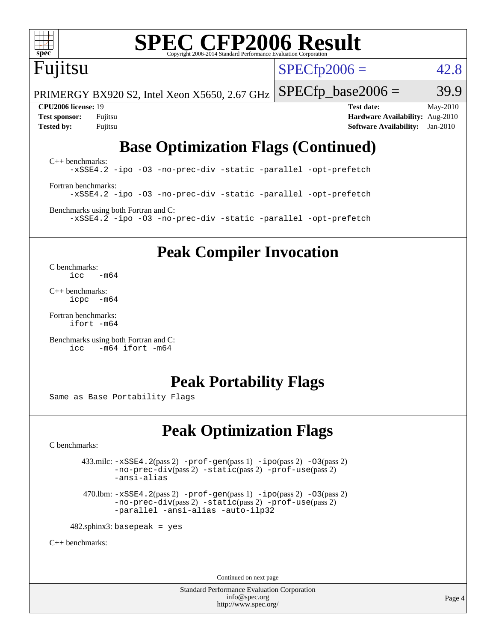

# **[SPEC CFP2006 Result](http://www.spec.org/auto/cpu2006/Docs/result-fields.html#SPECCFP2006Result)**

# Fujitsu

 $SPECTp2006 = 42.8$ 

PRIMERGY BX920 S2, Intel Xeon X5650, 2.67 GHz  $SPECfp\_base2006 = 39.9$ 

**[CPU2006 license:](http://www.spec.org/auto/cpu2006/Docs/result-fields.html#CPU2006license)** 19 **[Test date:](http://www.spec.org/auto/cpu2006/Docs/result-fields.html#Testdate)** May-2010 **[Test sponsor:](http://www.spec.org/auto/cpu2006/Docs/result-fields.html#Testsponsor)** Fujitsu **[Hardware Availability:](http://www.spec.org/auto/cpu2006/Docs/result-fields.html#HardwareAvailability)** Aug-2010 **[Tested by:](http://www.spec.org/auto/cpu2006/Docs/result-fields.html#Testedby)** Fujitsu **[Software Availability:](http://www.spec.org/auto/cpu2006/Docs/result-fields.html#SoftwareAvailability)** Jan-2010

# **[Base Optimization Flags \(Continued\)](http://www.spec.org/auto/cpu2006/Docs/result-fields.html#BaseOptimizationFlags)**

[C++ benchmarks:](http://www.spec.org/auto/cpu2006/Docs/result-fields.html#CXXbenchmarks) [-xSSE4.2](http://www.spec.org/cpu2006/results/res2010q3/cpu2006-20100702-12075.flags.html#user_CXXbase_f-xSSE42_f91528193cf0b216347adb8b939d4107) [-ipo](http://www.spec.org/cpu2006/results/res2010q3/cpu2006-20100702-12075.flags.html#user_CXXbase_f-ipo) [-O3](http://www.spec.org/cpu2006/results/res2010q3/cpu2006-20100702-12075.flags.html#user_CXXbase_f-O3) [-no-prec-div](http://www.spec.org/cpu2006/results/res2010q3/cpu2006-20100702-12075.flags.html#user_CXXbase_f-no-prec-div) [-static](http://www.spec.org/cpu2006/results/res2010q3/cpu2006-20100702-12075.flags.html#user_CXXbase_f-static) [-parallel](http://www.spec.org/cpu2006/results/res2010q3/cpu2006-20100702-12075.flags.html#user_CXXbase_f-parallel) [-opt-prefetch](http://www.spec.org/cpu2006/results/res2010q3/cpu2006-20100702-12075.flags.html#user_CXXbase_f-opt-prefetch) [Fortran benchmarks](http://www.spec.org/auto/cpu2006/Docs/result-fields.html#Fortranbenchmarks): [-xSSE4.2](http://www.spec.org/cpu2006/results/res2010q3/cpu2006-20100702-12075.flags.html#user_FCbase_f-xSSE42_f91528193cf0b216347adb8b939d4107) [-ipo](http://www.spec.org/cpu2006/results/res2010q3/cpu2006-20100702-12075.flags.html#user_FCbase_f-ipo) [-O3](http://www.spec.org/cpu2006/results/res2010q3/cpu2006-20100702-12075.flags.html#user_FCbase_f-O3) [-no-prec-div](http://www.spec.org/cpu2006/results/res2010q3/cpu2006-20100702-12075.flags.html#user_FCbase_f-no-prec-div) [-static](http://www.spec.org/cpu2006/results/res2010q3/cpu2006-20100702-12075.flags.html#user_FCbase_f-static) [-parallel](http://www.spec.org/cpu2006/results/res2010q3/cpu2006-20100702-12075.flags.html#user_FCbase_f-parallel) [-opt-prefetch](http://www.spec.org/cpu2006/results/res2010q3/cpu2006-20100702-12075.flags.html#user_FCbase_f-opt-prefetch) [Benchmarks using both Fortran and C](http://www.spec.org/auto/cpu2006/Docs/result-fields.html#BenchmarksusingbothFortranandC):

[-xSSE4.2](http://www.spec.org/cpu2006/results/res2010q3/cpu2006-20100702-12075.flags.html#user_CC_FCbase_f-xSSE42_f91528193cf0b216347adb8b939d4107) [-ipo](http://www.spec.org/cpu2006/results/res2010q3/cpu2006-20100702-12075.flags.html#user_CC_FCbase_f-ipo) [-O3](http://www.spec.org/cpu2006/results/res2010q3/cpu2006-20100702-12075.flags.html#user_CC_FCbase_f-O3) [-no-prec-div](http://www.spec.org/cpu2006/results/res2010q3/cpu2006-20100702-12075.flags.html#user_CC_FCbase_f-no-prec-div) [-static](http://www.spec.org/cpu2006/results/res2010q3/cpu2006-20100702-12075.flags.html#user_CC_FCbase_f-static) [-parallel](http://www.spec.org/cpu2006/results/res2010q3/cpu2006-20100702-12075.flags.html#user_CC_FCbase_f-parallel) [-opt-prefetch](http://www.spec.org/cpu2006/results/res2010q3/cpu2006-20100702-12075.flags.html#user_CC_FCbase_f-opt-prefetch)

**[Peak Compiler Invocation](http://www.spec.org/auto/cpu2006/Docs/result-fields.html#PeakCompilerInvocation)**

[C benchmarks](http://www.spec.org/auto/cpu2006/Docs/result-fields.html#Cbenchmarks):  $\text{icc}$   $-\text{m64}$ 

[C++ benchmarks:](http://www.spec.org/auto/cpu2006/Docs/result-fields.html#CXXbenchmarks) [icpc -m64](http://www.spec.org/cpu2006/results/res2010q3/cpu2006-20100702-12075.flags.html#user_CXXpeak_intel_icpc_64bit_bedb90c1146cab66620883ef4f41a67e)

[Fortran benchmarks](http://www.spec.org/auto/cpu2006/Docs/result-fields.html#Fortranbenchmarks): [ifort -m64](http://www.spec.org/cpu2006/results/res2010q3/cpu2006-20100702-12075.flags.html#user_FCpeak_intel_ifort_64bit_ee9d0fb25645d0210d97eb0527dcc06e)

[Benchmarks using both Fortran and C](http://www.spec.org/auto/cpu2006/Docs/result-fields.html#BenchmarksusingbothFortranandC): [icc -m64](http://www.spec.org/cpu2006/results/res2010q3/cpu2006-20100702-12075.flags.html#user_CC_FCpeak_intel_icc_64bit_0b7121f5ab7cfabee23d88897260401c) [ifort -m64](http://www.spec.org/cpu2006/results/res2010q3/cpu2006-20100702-12075.flags.html#user_CC_FCpeak_intel_ifort_64bit_ee9d0fb25645d0210d97eb0527dcc06e)

### **[Peak Portability Flags](http://www.spec.org/auto/cpu2006/Docs/result-fields.html#PeakPortabilityFlags)**

Same as Base Portability Flags

## **[Peak Optimization Flags](http://www.spec.org/auto/cpu2006/Docs/result-fields.html#PeakOptimizationFlags)**

[C benchmarks](http://www.spec.org/auto/cpu2006/Docs/result-fields.html#Cbenchmarks):

 $433 \text{.}$ milc:  $-xSSE4$ .  $2(pass 2)$  - $prof-gen(pass 1)$  - $ipo(pass 2)$  [-O3](http://www.spec.org/cpu2006/results/res2010q3/cpu2006-20100702-12075.flags.html#user_peakPASS2_CFLAGSPASS2_LDFLAGS433_milc_f-O3) $(pass 2)$ [-no-prec-div](http://www.spec.org/cpu2006/results/res2010q3/cpu2006-20100702-12075.flags.html#user_peakPASS2_CFLAGSPASS2_LDFLAGS433_milc_f-no-prec-div)(pass 2) [-static](http://www.spec.org/cpu2006/results/res2010q3/cpu2006-20100702-12075.flags.html#user_peakPASS2_CFLAGSPASS2_LDFLAGS433_milc_f-static)(pass 2) [-prof-use](http://www.spec.org/cpu2006/results/res2010q3/cpu2006-20100702-12075.flags.html#user_peakPASS2_CFLAGSPASS2_LDFLAGS433_milc_prof_use_bccf7792157ff70d64e32fe3e1250b55)(pass 2) [-ansi-alias](http://www.spec.org/cpu2006/results/res2010q3/cpu2006-20100702-12075.flags.html#user_peakOPTIMIZE433_milc_f-ansi-alias)

 470.lbm: [-xSSE4.2](http://www.spec.org/cpu2006/results/res2010q3/cpu2006-20100702-12075.flags.html#user_peakPASS2_CFLAGSPASS2_LDFLAGS470_lbm_f-xSSE42_f91528193cf0b216347adb8b939d4107)(pass 2) [-prof-gen](http://www.spec.org/cpu2006/results/res2010q3/cpu2006-20100702-12075.flags.html#user_peakPASS1_CFLAGSPASS1_LDFLAGS470_lbm_prof_gen_e43856698f6ca7b7e442dfd80e94a8fc)(pass 1) [-ipo](http://www.spec.org/cpu2006/results/res2010q3/cpu2006-20100702-12075.flags.html#user_peakPASS2_CFLAGSPASS2_LDFLAGS470_lbm_f-ipo)(pass 2) [-O3](http://www.spec.org/cpu2006/results/res2010q3/cpu2006-20100702-12075.flags.html#user_peakPASS2_CFLAGSPASS2_LDFLAGS470_lbm_f-O3)(pass 2) [-no-prec-div](http://www.spec.org/cpu2006/results/res2010q3/cpu2006-20100702-12075.flags.html#user_peakPASS2_CFLAGSPASS2_LDFLAGS470_lbm_f-no-prec-div)(pass 2) [-static](http://www.spec.org/cpu2006/results/res2010q3/cpu2006-20100702-12075.flags.html#user_peakPASS2_CFLAGSPASS2_LDFLAGS470_lbm_f-static)(pass 2) [-prof-use](http://www.spec.org/cpu2006/results/res2010q3/cpu2006-20100702-12075.flags.html#user_peakPASS2_CFLAGSPASS2_LDFLAGS470_lbm_prof_use_bccf7792157ff70d64e32fe3e1250b55)(pass 2) [-parallel](http://www.spec.org/cpu2006/results/res2010q3/cpu2006-20100702-12075.flags.html#user_peakOPTIMIZE470_lbm_f-parallel) [-ansi-alias](http://www.spec.org/cpu2006/results/res2010q3/cpu2006-20100702-12075.flags.html#user_peakOPTIMIZE470_lbm_f-ansi-alias) [-auto-ilp32](http://www.spec.org/cpu2006/results/res2010q3/cpu2006-20100702-12075.flags.html#user_peakCOPTIMIZE470_lbm_f-auto-ilp32)

 $482$ .sphinx3: basepeak = yes

[C++ benchmarks:](http://www.spec.org/auto/cpu2006/Docs/result-fields.html#CXXbenchmarks)

Continued on next page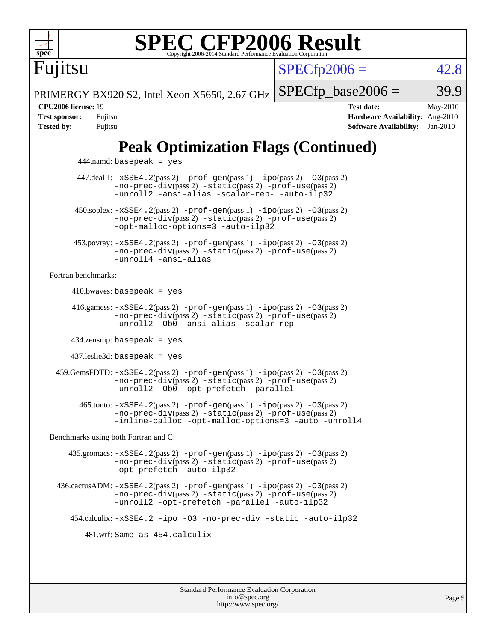